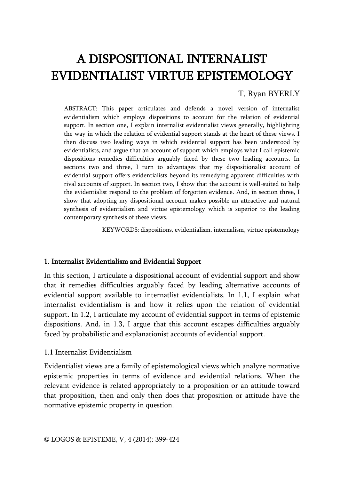# A DISPOSITIONAL INTERNALIST EVIDENTIALIST VIRTUE EPISTEMOLOGY

# T. Ryan BYERLY

ABSTRACT: This paper articulates and defends a novel version of internalist evidentialism which employs dispositions to account for the relation of evidential support. In section one, I explain internalist evidentialist views generally, highlighting the way in which the relation of evidential support stands at the heart of these views. I then discuss two leading ways in which evidential support has been understood by evidentialists, and argue that an account of support which employs what I call epistemic dispositions remedies difficulties arguably faced by these two leading accounts. In sections two and three, I turn to advantages that my dispositionalist account of evidential support offers evidentialists beyond its remedying apparent difficulties with rival accounts of support. In section two, I show that the account is well-suited to help the evidentialist respond to the problem of forgotten evidence. And, in section three, I show that adopting my dispositional account makes possible an attractive and natural synthesis of evidentialism and virtue epistemology which is superior to the leading contemporary synthesis of these views.

KEYWORDS: dispositions, evidentialism, internalism, virtue epistemology

## 1. Internalist Evidentialism and Evidential Support

In this section, I articulate a dispositional account of evidential support and show that it remedies difficulties arguably faced by leading alternative accounts of evidential support available to internatlist evidentialists. In 1.1, I explain what internalist evidentialism is and how it relies upon the relation of evidential support. In 1.2, I articulate my account of evidential support in terms of epistemic dispositions. And, in 1.3, I argue that this account escapes difficulties arguably faced by probabilistic and explanationist accounts of evidential support.

## 1.1 Internalist Evidentialism

Evidentialist views are a family of epistemological views which analyze normative epistemic properties in terms of evidence and evidential relations. When the relevant evidence is related appropriately to a proposition or an attitude toward that proposition, then and only then does that proposition or attitude have the normative epistemic property in question.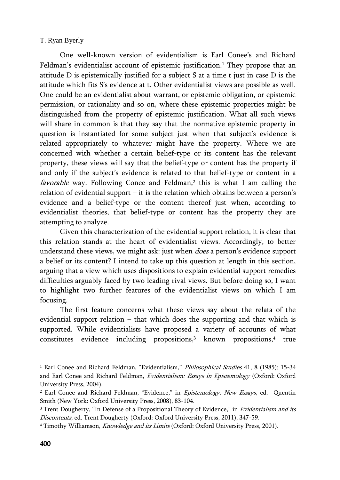One well-known version of evidentialism is Earl Conee's and Richard Feldman's evidentialist account of epistemic justification.<sup>1</sup> They propose that an attitude D is epistemically justified for a subject S at a time t just in case D is the attitude which fits S's evidence at t. Other evidentialist views are possible as well. One could be an evidentialist about warrant, or epistemic obligation, or epistemic permission, or rationality and so on, where these epistemic properties might be distinguished from the property of epistemic justification. What all such views will share in common is that they say that the normative epistemic property in question is instantiated for some subject just when that subject's evidence is related appropriately to whatever might have the property. Where we are concerned with whether a certain belief-type or its content has the relevant property, these views will say that the belief-type or content has the property if and only if the subject's evidence is related to that belief-type or content in a *favorable* way. Following Conee and Feldman,<sup>2</sup> this is what I am calling the relation of evidential support – it is the relation which obtains between a person's evidence and a belief-type or the content thereof just when, according to evidentialist theories, that belief-type or content has the property they are attempting to analyze.

Given this characterization of the evidential support relation, it is clear that this relation stands at the heart of evidentialist views. Accordingly, to better understand these views, we might ask: just when *does* a person's evidence support a belief or its content? I intend to take up this question at length in this section, arguing that a view which uses dispositions to explain evidential support remedies difficulties arguably faced by two leading rival views. But before doing so, I want to highlight two further features of the evidentialist views on which I am focusing.

The first feature concerns what these views say about the relata of the evidential support relation – that which does the supporting and that which is supported. While evidentialists have proposed a variety of accounts of what constitutes evidence including propositions,<sup>3</sup> known propositions,<sup>4</sup> true

<sup>&</sup>lt;sup>1</sup> Earl Conee and Richard Feldman, "Evidentialism," Philosophical Studies 41, 8 (1985): 15-34 and Earl Conee and Richard Feldman, Evidentialism: Essays in Epistemology (Oxford: Oxford University Press, 2004).

<sup>&</sup>lt;sup>2</sup> Earl Conee and Richard Feldman, "Evidence," in Epistemology: New Essays, ed. Quentin Smith (New York: Oxford University Press, 2008), 83-104.

<sup>&</sup>lt;sup>3</sup> Trent Dougherty, "In Defense of a Propositional Theory of Evidence," in Evidentialism and its Discontents, ed. Trent Dougherty (Oxford: Oxford University Press, 2011), 347-59.

<sup>&</sup>lt;sup>4</sup> Timothy Williamson, *Knowledge and its Limits* (Oxford: Oxford University Press, 2001).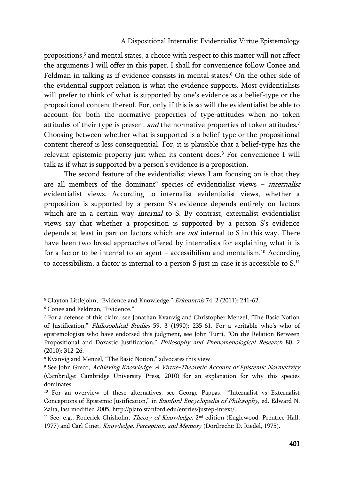propositions,<sup>5</sup> and mental states, a choice with respect to this matter will not affect the arguments I will offer in this paper. I shall for convenience follow Conee and Feldman in talking as if evidence consists in mental states.<sup>6</sup> On the other side of the evidential support relation is what the evidence supports. Most evidentialists will prefer to think of what is supported by one's evidence as a belief-type or the propositional content thereof. For, only if this is so will the evidentialist be able to account for both the normative properties of type-attitudes when no token attitudes of their type is present *and* the normative properties of token attitudes.<sup>7</sup> Choosing between whether what is supported is a belief-type or the propositional content thereof is less consequential. For, it is plausible that a belief-type has the relevant epistemic property just when its content does.<sup>8</sup> For convenience I will talk as if what is supported by a person's evidence is a proposition.

The second feature of the evidentialist views I am focusing on is that they are all members of the dominant<sup>9</sup> species of evidentialist views – *internalist* evidentialist views. According to internalist evidentialist views, whether a proposition is supported by a person S's evidence depends entirely on factors which are in a certain way *internal* to S. By contrast, externalist evidentialist views say that whether a proposition is supported by a person S's evidence depends at least in part on factors which are *not* internal to S in this way. There have been two broad approaches offered by internalists for explaining what it is for a factor to be internal to an agent – accessibilism and mentalism.<sup>10</sup> According to accessibilism, a factor is internal to a person S just in case it is accessible to  $S<sup>11</sup>$ 

<sup>&</sup>lt;sup>5</sup> Clayton Littlejohn, "Evidence and Knowledge," Erkenntnis 74, 2 (2011): 241-62.

<sup>6</sup> Conee and Feldman, "Evidence."

<sup>7</sup> For a defense of this claim, see Jonathan Kvanvig and Christopher Menzel, "The Basic Notion of Justification," Philosophical Studies 59, 3 (1990): 235-61. For a veritable who's who of epistemologists who have endorsed this judgment, see John Turri, "On the Relation Between Propositional and Doxastic Justification," Philosophy and Phenomenological Research 80, 2 (2010): 312-26.

<sup>8</sup> Kvanvig and Menzel, "The Basic Notion," advocates this view.

<sup>9</sup> See John Greco, Achieving Knowledge: A Virtue-Theoretic Account of Epistemic Normativity (Cambridge: Cambridge University Press, 2010) for an explanation for why this species dominates.

<sup>&</sup>lt;sup>10</sup> For an overview of these alternatives, see George Pappas, ""Internalist vs Externalist Conceptions of Epistemic Justification," in Stanford Encyclopedia of Philosophy, ed. Edward N. Zalta, last modified 2005, http://plato.stanford.edu/entries/justep-intext/.

<sup>&</sup>lt;sup>11</sup> See, e.g., Roderick Chisholm, *Theory of Knowledge*,  $2<sup>nd</sup>$  edition (Englewood: Prentice-Hall, 1977) and Carl Ginet, Knowledge, Perception, and Memory (Dordrecht: D. Riedel, 1975).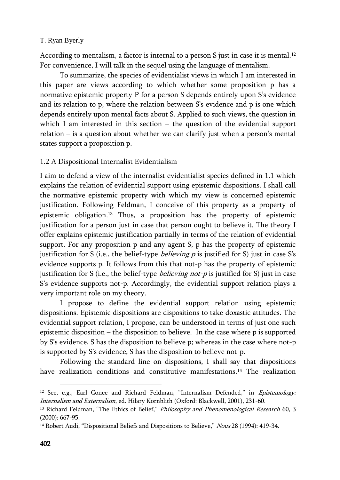According to mentalism, a factor is internal to a person S just in case it is mental.<sup>12</sup> For convenience, I will talk in the sequel using the language of mentalism.

To summarize, the species of evidentialist views in which I am interested in this paper are views according to which whether some proposition p has a normative epistemic property P for a person S depends entirely upon S's evidence and its relation to p, where the relation between S's evidence and p is one which depends entirely upon mental facts about S. Applied to such views, the question in which I am interested in this section – the question of the evidential support relation – is a question about whether we can clarify just when a person's mental states support a proposition p.

# 1.2 A Dispositional Internalist Evidentialism

I aim to defend a view of the internalist evidentialist species defined in 1.1 which explains the relation of evidential support using epistemic dispositions. I shall call the normative epistemic property with which my view is concerned epistemic justification. Following Feldman, I conceive of this property as a property of epistemic obligation.<sup>13</sup> Thus, a proposition has the property of epistemic justification for a person just in case that person ought to believe it. The theory I offer explains epistemic justification partially in terms of the relation of evidential support. For any proposition p and any agent S, p has the property of epistemic justification for S (i.e., the belief-type *believing*  $p$  is justified for S) just in case S's evidence supports p. It follows from this that not-p has the property of epistemic justification for S (i.e., the belief-type *believing not-p* is justified for S) just in case S's evidence supports not-p. Accordingly, the evidential support relation plays a very important role on my theory.

I propose to define the evidential support relation using epistemic dispositions. Epistemic dispositions are dispositions to take doxastic attitudes. The evidential support relation, I propose, can be understood in terms of just one such epistemic disposition – the disposition to believe. In the case where p is supported by S's evidence, S has the disposition to believe p; whereas in the case where not-p is supported by S's evidence, S has the disposition to believe not-p.

Following the standard line on dispositions, I shall say that dispositions have realization conditions and constitutive manifestations.<sup>14</sup> The realization

<sup>&</sup>lt;sup>12</sup> See, e.g., Earl Conee and Richard Feldman, "Internalism Defended," in Epistemology: Internalism and Externalism, ed. Hilary Kornblith (Oxford: Blackwell, 2001), 231-60.

<sup>&</sup>lt;sup>13</sup> Richard Feldman, "The Ethics of Belief," *Philosophy and Phenomenological Research* 60, 3 (2000): 667-95.

<sup>&</sup>lt;sup>14</sup> Robert Audi, "Dispositional Beliefs and Dispositions to Believe," *Nous* 28 (1994): 419-34.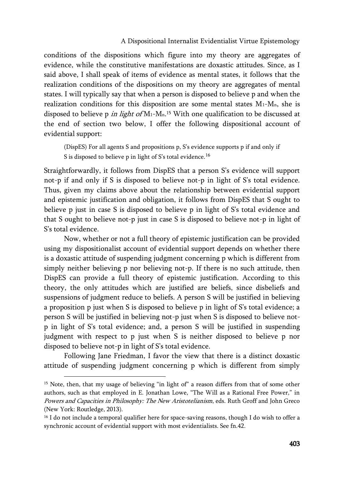conditions of the dispositions which figure into my theory are aggregates of evidence, while the constitutive manifestations are doxastic attitudes. Since, as I said above, I shall speak of items of evidence as mental states, it follows that the realization conditions of the dispositions on my theory are aggregates of mental states. I will typically say that when a person is disposed to believe p and when the realization conditions for this disposition are some mental states M1-Mn, she is disposed to believe p *in light of* M1-Mn.<sup>15</sup> With one qualification to be discussed at the end of section two below, I offer the following dispositional account of evidential support:

(DispES) For all agents S and propositions p, S's evidence supports p if and only if S is disposed to believe p in light of S's total evidence.<sup>16</sup>

Straightforwardly, it follows from DispES that a person S's evidence will support not-p if and only if S is disposed to believe not-p in light of S's total evidence. Thus, given my claims above about the relationship between evidential support and epistemic justification and obligation, it follows from DispES that S ought to believe p just in case S is disposed to believe p in light of S's total evidence and that S ought to believe not-p just in case S is disposed to believe not-p in light of S's total evidence.

Now, whether or not a full theory of epistemic justification can be provided using my dispositionalist account of evidential support depends on whether there is a doxastic attitude of suspending judgment concerning p which is different from simply neither believing p nor believing not-p. If there is no such attitude, then DispES can provide a full theory of epistemic justification. According to this theory, the only attitudes which are justified are beliefs, since disbeliefs and suspensions of judgment reduce to beliefs. A person S will be justified in believing a proposition p just when S is disposed to believe p in light of S's total evidence; a person S will be justified in believing not-p just when S is disposed to believe notp in light of S's total evidence; and, a person S will be justified in suspending judgment with respect to p just when S is neither disposed to believe p nor disposed to believe not-p in light of S's total evidence.

Following Jane Friedman, I favor the view that there is a distinct doxastic attitude of suspending judgment concerning p which is different from simply

<sup>&</sup>lt;sup>15</sup> Note, then, that my usage of believing "in light of" a reason differs from that of some other authors, such as that employed in E. Jonathan Lowe, "The Will as a Rational Free Power," in Powers and Capacities in Philosophy: The New Aristotelianism, eds. Ruth Groff and John Greco (New York: Routledge, 2013).

<sup>&</sup>lt;sup>16</sup> I do not include a temporal qualifier here for space-saving reasons, though I do wish to offer a synchronic account of evidential support with most evidentialists. See fn.42.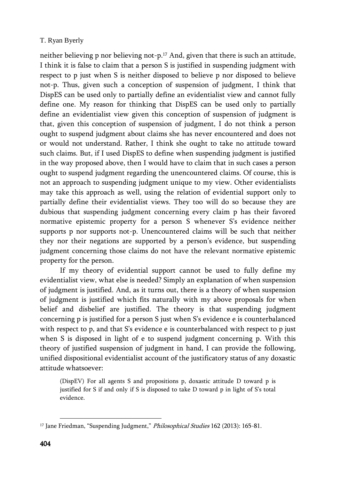neither believing p nor believing not-p.<sup>17</sup> And, given that there is such an attitude, I think it is false to claim that a person S is justified in suspending judgment with respect to p just when S is neither disposed to believe p nor disposed to believe not-p. Thus, given such a conception of suspension of judgment, I think that DispES can be used only to partially define an evidentialist view and cannot fully define one. My reason for thinking that DispES can be used only to partially define an evidentialist view given this conception of suspension of judgment is that, given this conception of suspension of judgment, I do not think a person ought to suspend judgment about claims she has never encountered and does not or would not understand. Rather, I think she ought to take no attitude toward such claims. But, if I used DispES to define when suspending judgment is justified in the way proposed above, then I would have to claim that in such cases a person ought to suspend judgment regarding the unencountered claims. Of course, this is not an approach to suspending judgment unique to my view. Other evidentialists may take this approach as well, using the relation of evidential support only to partially define their evidentialist views. They too will do so because they are dubious that suspending judgment concerning every claim p has their favored normative epistemic property for a person S whenever S's evidence neither supports p nor supports not-p. Unencountered claims will be such that neither they nor their negations are supported by a person's evidence, but suspending judgment concerning those claims do not have the relevant normative epistemic property for the person.

If my theory of evidential support cannot be used to fully define my evidentialist view, what else is needed? Simply an explanation of when suspension of judgment is justified. And, as it turns out, there is a theory of when suspension of judgment is justified which fits naturally with my above proposals for when belief and disbelief are justified. The theory is that suspending judgment concerning p is justified for a person S just when S's evidence e is counterbalanced with respect to p, and that S's evidence e is counterbalanced with respect to p just when S is disposed in light of e to suspend judgment concerning p. With this theory of justified suspension of judgment in hand, I can provide the following, unified dispositional evidentialist account of the justificatory status of any doxastic attitude whatsoever:

(DispEV) For all agents S and propositions p, doxastic attitude D toward p is justified for S if and only if S is disposed to take D toward p in light of S's total evidence.

<sup>&</sup>lt;sup>17</sup> Jane Friedman, "Suspending Judgment," Philosophical Studies 162 (2013): 165-81.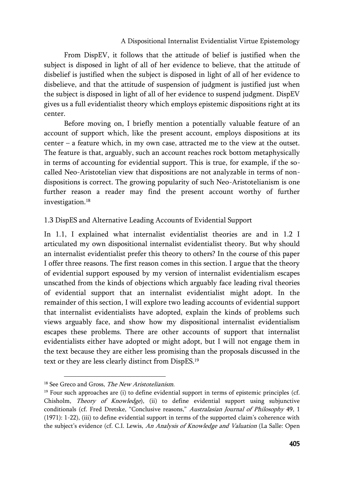From DispEV, it follows that the attitude of belief is justified when the subject is disposed in light of all of her evidence to believe, that the attitude of disbelief is justified when the subject is disposed in light of all of her evidence to disbelieve, and that the attitude of suspension of judgment is justified just when the subject is disposed in light of all of her evidence to suspend judgment. DispEV gives us a full evidentialist theory which employs epistemic dispositions right at its center.

Before moving on, I briefly mention a potentially valuable feature of an account of support which, like the present account, employs dispositions at its center – a feature which, in my own case, attracted me to the view at the outset. The feature is that, arguably, such an account reaches rock bottom metaphysically in terms of accounting for evidential support. This is true, for example, if the socalled Neo-Aristotelian view that dispositions are not analyzable in terms of nondispositions is correct. The growing popularity of such Neo-Aristotelianism is one further reason a reader may find the present account worthy of further investigation.<sup>18</sup>

# 1.3 DispES and Alternative Leading Accounts of Evidential Support

In 1.1, I explained what internalist evidentialist theories are and in 1.2 I articulated my own dispositional internalist evidentialist theory. But why should an internalist evidentialist prefer this theory to others? In the course of this paper I offer three reasons. The first reason comes in this section. I argue that the theory of evidential support espoused by my version of internalist evidentialism escapes unscathed from the kinds of objections which arguably face leading rival theories of evidential support that an internalist evidentialist might adopt. In the remainder of this section, I will explore two leading accounts of evidential support that internalist evidentialists have adopted, explain the kinds of problems such views arguably face, and show how my dispositional internalist evidentialism escapes these problems. There are other accounts of support that internalist evidentialists either have adopted or might adopt, but I will not engage them in the text because they are either less promising than the proposals discussed in the text or they are less clearly distinct from DispES.<sup>19</sup>

<sup>&</sup>lt;sup>18</sup> See Greco and Gross, The New Aristotelianism.

<sup>&</sup>lt;sup>19</sup> Four such approaches are (i) to define evidential support in terms of epistemic principles (cf. Chisholm, Theory of Knowledge), (ii) to define evidential support using subjunctive conditionals (cf. Fred Dretske, "Conclusive reasons," Australasian Journal of Philosophy 49, 1 (1971): 1-22), (iii) to define evidential support in terms of the supported claim's coherence with the subject's evidence (cf. C.I. Lewis, An Analysis of Knowledge and Valuation (La Salle: Open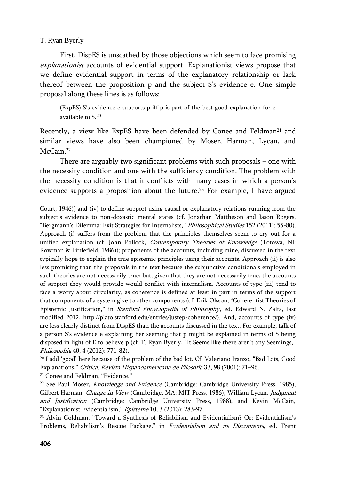j

First, DispES is unscathed by those objections which seem to face promising explanationist accounts of evidential support. Explanationist views propose that we define evidential support in terms of the explanatory relationship or lack thereof between the proposition p and the subject S's evidence e. One simple proposal along these lines is as follows:

(ExpES) S's evidence e supports p iff p is part of the best good explanation for e available to S.<sup>20</sup>

Recently, a view like ExpES have been defended by Conee and Feldman<sup>21</sup> and similar views have also been championed by Moser, Harman, Lycan, and McCain.<sup>22</sup>

There are arguably two significant problems with such proposals – one with the necessity condition and one with the sufficiency condition. The problem with the necessity condition is that it conflicts with many cases in which a person's evidence supports a proposition about the future.<sup>23</sup> For example, I have argued

Court, 1946)) and (iv) to define support using causal or explanatory relations running from the subject's evidence to non-doxastic mental states (cf. Jonathan Mattheson and Jason Rogers, "Bergmann's Dilemma: Exit Strategies for Internalists," Philosophical Studies 152 (2011): 55-80). Approach (i) suffers from the problem that the principles themselves seem to cry out for a unified explanation (cf. John Pollock, *Contemporary Theories of Knowledge* (Totowa, NJ: Rowman & Littlefield, 1986)); proponents of the accounts, including mine, discussed in the text typically hope to explain the true epistemic principles using their accounts. Approach (ii) is also less promising than the proposals in the text because the subjunctive conditionals employed in such theories are not necessarily true; but, given that they are not necessarily true, the accounts of support they would provide would conflict with internalism. Accounts of type (iii) tend to face a worry about circularity, as coherence is defined at least in part in terms of the support that components of a system give to other components (cf. Erik Olsson, "Coherentist Theories of Epistemic Justification," in Stanford Encyclopedia of Philosophy, ed. Edward N. Zalta, last modified 2012, http://plato.stanford.edu/entries/justep-coherence/). And, accounts of type (iv) are less clearly distinct from DispES than the accounts discussed in the text. For example, talk of a person S's evidence e explaining her seeming that p might be explained in terms of S being disposed in light of E to believe p (cf. T. Ryan Byerly, "It Seems like there aren't any Seemings," Philosophia 40, 4 (2012): 771-82).

<sup>20</sup> I add 'good' here because of the problem of the bad lot. Cf. Valeriano Iranzo, "Bad Lots, Good Explanations," Crítica: Revista Hispanoamericana de Filosofía 33, 98 (2001): 71–96.

<sup>21</sup> Conee and Feldman, "Evidence."

<sup>22</sup> See Paul Moser, *Knowledge and Evidence* (Cambridge: Cambridge University Press, 1985), Gilbert Harman, Change in View (Cambridge, MA: MIT Press, 1986), William Lycan, Judgment and Justification (Cambridge: Cambridge University Press, 1988), and Kevin McCain, "Explanationist Evidentialism," Episteme 10, 3 (2013): 283-97.

<sup>23</sup> Alvin Goldman, "Toward a Synthesis of Reliabilism and Evidentialism? Or: Evidentialism's Problems, Reliabilism's Rescue Package," in Evidentialism and its Discontents, ed. Trent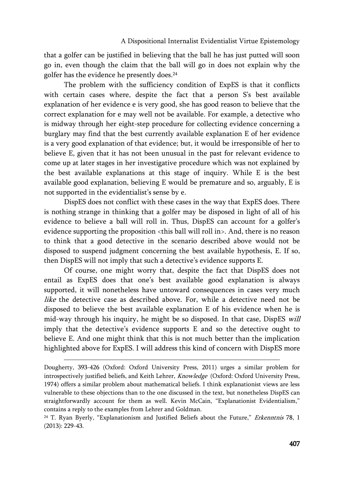that a golfer can be justified in believing that the ball he has just putted will soon go in, even though the claim that the ball will go in does not explain why the golfer has the evidence he presently does.<sup>24</sup>

The problem with the sufficiency condition of ExpES is that it conflicts with certain cases where, despite the fact that a person S's best available explanation of her evidence e is very good, she has good reason to believe that the correct explanation for e may well not be available. For example, a detective who is midway through her eight-step procedure for collecting evidence concerning a burglary may find that the best currently available explanation E of her evidence is a very good explanation of that evidence; but, it would be irresponsible of her to believe E, given that it has not been unusual in the past for relevant evidence to come up at later stages in her investigative procedure which was not explained by the best available explanations at this stage of inquiry. While E is the best available good explanation, believing E would be premature and so, arguably, E is not supported in the evidentialist's sense by e.

DispES does not conflict with these cases in the way that ExpES does. There is nothing strange in thinking that a golfer may be disposed in light of all of his evidence to believe a ball will roll in. Thus, DispES can account for a golfer's evidence supporting the proposition <this ball will roll in>. And, there is no reason to think that a good detective in the scenario described above would not be disposed to suspend judgment concerning the best available hypothesis, E. If so, then DispES will not imply that such a detective's evidence supports E.

Of course, one might worry that, despite the fact that DispES does not entail as ExpES does that one's best available good explanation is always supported, it will nonetheless have untoward consequences in cases very much like the detective case as described above. For, while a detective need not be disposed to believe the best available explanation E of his evidence when he is mid-way through his inquiry, he might be so disposed. In that case, DispES will imply that the detective's evidence supports E and so the detective ought to believe E. And one might think that this is not much better than the implication highlighted above for ExpES. I will address this kind of concern with DispES more

Dougherty, 393-426 (Oxford: Oxford University Press, 2011) urges a similar problem for introspectively justified beliefs, and Keith Lehrer, Knowledge (Oxford: Oxford University Press, 1974) offers a similar problem about mathematical beliefs. I think explanationist views are less vulnerable to these objections than to the one discussed in the text, but nonetheless DispES can straightforwardly account for them as well. Kevin McCain, "Explanationist Evidentialism," contains a reply to the examples from Lehrer and Goldman.

<sup>&</sup>lt;sup>24</sup> T. Ryan Byerly, "Explanationism and Justified Beliefs about the Future," Erkenntnis 78, 1 (2013): 229-43.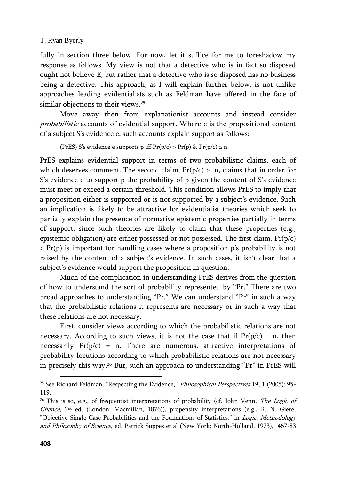fully in section three below. For now, let it suffice for me to foreshadow my response as follows. My view is not that a detective who is in fact so disposed ought not believe E, but rather that a detective who is so disposed has no business being a detective. This approach, as I will explain further below, is not unlike approaches leading evidentialists such as Feldman have offered in the face of similar objections to their views.<sup>25</sup>

Move away then from explanationist accounts and instead consider probabilistic accounts of evidential support. Where c is the propositional content of a subject S's evidence e, such accounts explain support as follows:

(PrES) S's evidence e supports p iff  $Pr(p/c) > Pr(p)$  &  $Pr(p/c) \ge n$ .

PrES explains evidential support in terms of two probabilistic claims, each of which deserves comment. The second claim,  $Pr(p/c) \ge n$ , claims that in order for S's evidence e to support p the probability of p given the content of S's evidence must meet or exceed a certain threshold. This condition allows PrES to imply that a proposition either is supported or is not supported by a subject's evidence. Such an implication is likely to be attractive for evidentialist theories which seek to partially explain the presence of normative epistemic properties partially in terms of support, since such theories are likely to claim that these properties (e.g., epistemic obligation) are either possessed or not possessed. The first claim,  $Pr(p/c)$  $> Pr(p)$  is important for handling cases where a proposition p's probability is not raised by the content of a subject's evidence. In such cases, it isn't clear that a subject's evidence would support the proposition in question.

Much of the complication in understanding PrES derives from the question of how to understand the sort of probability represented by "Pr." There are two broad approaches to understanding "Pr." We can understand "Pr" in such a way that the probabilistic relations it represents are necessary or in such a way that these relations are not necessary.

First, consider views according to which the probabilistic relations are not necessary. According to such views, it is not the case that if  $Pr(p/c) = n$ , then necessarily  $Pr(p/c) = n$ . There are numerous, attractive interpretations of probability locutions according to which probabilistic relations are not necessary in precisely this way.<sup>26</sup> But, such an approach to understanding "Pr" in PrES will

<sup>&</sup>lt;sup>25</sup> See Richard Feldman, "Respecting the Evidence," Philosophical Perspectives 19, 1 (2005): 95-119.

 $26$  This is so, e.g., of frequentist interpretations of probability (cf. John Venn, *The Logic of* Chance, 2nd ed. (London: Macmillan, 1876)), propensity interpretations (e.g., R. N. Giere, "Objective Single-Case Probabilities and the Foundations of Statistics," in Logic, Methodology and Philosophy of Science, ed. Patrick Suppes et al (New York: North-Holland, 1973), 467-83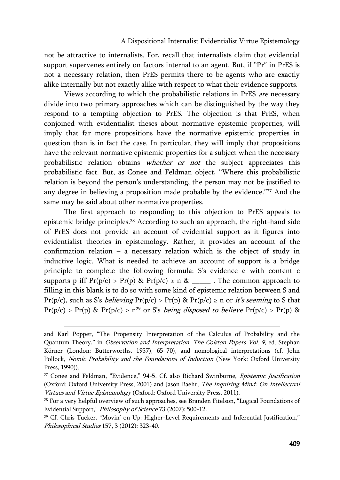not be attractive to internalists. For, recall that internalists claim that evidential support supervenes entirely on factors internal to an agent. But, if "Pr" in PrES is not a necessary relation, then PrES permits there to be agents who are exactly alike internally but not exactly alike with respect to what their evidence supports.

Views according to which the probabilistic relations in PrES are necessary divide into two primary approaches which can be distinguished by the way they respond to a tempting objection to PrES. The objection is that PrES, when conjoined with evidentialist theses about normative epistemic properties, will imply that far more propositions have the normative epistemic properties in question than is in fact the case. In particular, they will imply that propositions have the relevant normative epistemic properties for a subject when the necessary probabilistic relation obtains whether or not the subject appreciates this probabilistic fact. But, as Conee and Feldman object, "Where this probabilistic relation is beyond the person's understanding, the person may not be justified to any degree in believing a proposition made probable by the evidence."<sup>27</sup> And the same may be said about other normative properties.

The first approach to responding to this objection to PrES appeals to epistemic bridge principles.<sup>28</sup> According to such an approach, the right-hand side of PrES does not provide an account of evidential support as it figures into evidentialist theories in epistemology. Rather, it provides an account of the confirmation relation – a necessary relation which is the object of study in inductive logic. What is needed to achieve an account of support is a bridge principle to complete the following formula: S's evidence e with content c supports p iff  $Pr(p/c) > Pr(p)$  &  $Pr(p/c) \ge n$  & \_\_\_\_\_\_\_. The common approach to filling in this blank is to do so with some kind of epistemic relation between S and Pr(p/c), such as S's *believing*  $Pr(p/c) > Pr(p)$  &  $Pr(p/c) \ge n$  or *it's seeming* to S that  $Pr(p/c) > Pr(p)$  &  $Pr(p/c) \geq n^{29}$  or S's *being disposed to believe*  $Pr(p/c) > Pr(p)$  &

and Karl Popper, "The Propensity Interpretation of the Calculus of Probability and the Quantum Theory," in *Observation and Interpretation. The Colston Papers Vol. 9*, ed. Stephan Körner (London: Butterworths, 1957), 65–70), and nomological interpretations (cf. John Pollock, Nomic Probability and the Foundations of Induction (New York: Oxford University Press, 1990)).

<sup>&</sup>lt;sup>27</sup> Conee and Feldman, "Evidence," 94-5. Cf. also Richard Swinburne, Epistemic Justification (Oxford: Oxford University Press, 2001) and Jason Baehr, The Inquiring Mind: On Intellectual Virtues and Virtue Epistemology (Oxford: Oxford University Press, 2011).

<sup>&</sup>lt;sup>28</sup> For a very helpful overview of such approaches, see Branden Fitelson, "Logical Foundations of Evidential Support," Philosophy of Science 73 (2007): 500-12.

<sup>29</sup> Cf. Chris Tucker, "Movin' on Up: Higher-Level Requirements and Inferential Justification," Philosophical Studies 157, 3 (2012): 323-40.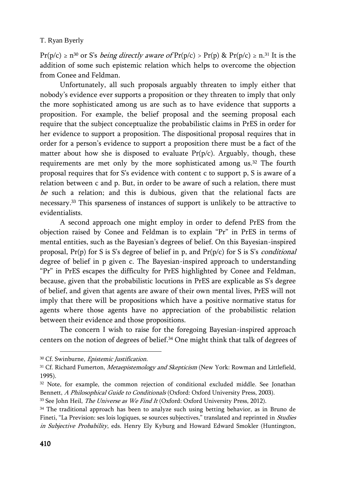$Pr(p/c) \ge n^{30}$  or S's *being directly aware of*  $Pr(p/c) > Pr(p) \& Pr(p/c) \ge n^{31}$  It is the addition of some such epistemic relation which helps to overcome the objection from Conee and Feldman.

Unfortunately, all such proposals arguably threaten to imply either that nobody's evidence ever supports a proposition or they threaten to imply that only the more sophisticated among us are such as to have evidence that supports a proposition. For example, the belief proposal and the seeming proposal each require that the subject conceptualize the probabilistic claims in PrES in order for her evidence to support a proposition. The dispositional proposal requires that in order for a person's evidence to support a proposition there must be a fact of the matter about how she is disposed to evaluate  $Pr(p/c)$ . Arguably, though, these requirements are met only by the more sophisticated among us.<sup>32</sup> The fourth proposal requires that for S's evidence with content c to support p, S is aware of a relation between c and p. But, in order to be aware of such a relation, there must be such a relation; and this is dubious, given that the relational facts are necessary.<sup>33</sup> This sparseness of instances of support is unlikely to be attractive to evidentialists.

A second approach one might employ in order to defend PrES from the objection raised by Conee and Feldman is to explain "Pr" in PrES in terms of mental entities, such as the Bayesian's degrees of belief. On this Bayesian-inspired proposal,  $Pr(p)$  for S is S's degree of belief in p, and  $Pr(p/c)$  for S is S's *conditional* degree of belief in p given c. The Bayesian-inspired approach to understanding "Pr" in PrES escapes the difficulty for PrES highlighted by Conee and Feldman, because, given that the probabilistic locutions in PrES are explicable as S's degree of belief, and given that agents are aware of their own mental lives, PrES will not imply that there will be propositions which have a positive normative status for agents where those agents have no appreciation of the probabilistic relation between their evidence and those propositions.

The concern I wish to raise for the foregoing Bayesian-inspired approach centers on the notion of degrees of belief.<sup>34</sup> One might think that talk of degrees of

<sup>30</sup> Cf. Swinburne, Epistemic Justification.

<sup>&</sup>lt;sup>31</sup> Cf. Richard Fumerton, *Metaepistemology and Skepticism* (New York: Rowman and Littlefield, 1995).

<sup>&</sup>lt;sup>32</sup> Note, for example, the common rejection of conditional excluded middle. See Jonathan Bennett, A Philosophical Guide to Conditionals (Oxford: Oxford University Press, 2003).

 $33$  See John Heil, *The Universe as We Find It* (Oxford: Oxford University Press, 2012).

<sup>&</sup>lt;sup>34</sup> The traditional approach has been to analyze such using betting behavior, as in Bruno de Fineti, "La Prevision: ses lois logiques, se sources subjectives," translated and reprinted in Studies in Subjective Probability, eds. Henry Ely Kyburg and Howard Edward Smokler (Huntington,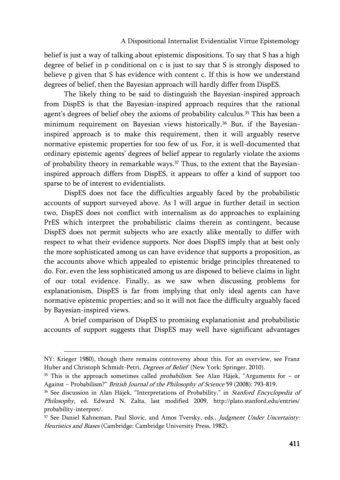belief is just a way of talking about epistemic dispositions. To say that S has a high degree of belief in p conditional on c is just to say that S is strongly disposed to believe p given that S has evidence with content c. If this is how we understand degrees of belief, then the Bayesian approach will hardly differ from DispES.

The likely thing to be said to distinguish the Bayesian-inspired approach from DispES is that the Bayesian-inspired approach requires that the rational agent's degrees of belief obey the axioms of probability calculus.<sup>35</sup> This has been a minimum requirement on Bayesian views historically.<sup>36</sup> But, if the Bayesianinspired approach is to make this requirement, then it will arguably reserve normative epistemic properties for too few of us. For, it is well-documented that ordinary epistemic agents' degrees of belief appear to regularly violate the axioms of probability theory in remarkable ways.<sup>37</sup> Thus, to the extent that the Bayesianinspired approach differs from DispES, it appears to offer a kind of support too sparse to be of interest to evidentialists.

DispES does not face the difficulties arguably faced by the probabilistic accounts of support surveyed above. As I will argue in further detail in section two, DispES does not conflict with internalism as do approaches to explaining PrES which interpret the probabilistic claims therein as contingent, because DispES does not permit subjects who are exactly alike mentally to differ with respect to what their evidence supports. Nor does DispES imply that at best only the more sophisticated among us can have evidence that supports a proposition, as the accounts above which appealed to epistemic bridge principles threatened to do. For, even the less sophisticated among us are disposed to believe claims in light of our total evidence. Finally, as we saw when discussing problems for explanationism, DispES is far from implying that only ideal agents can have normative epistemic properties; and so it will not face the difficulty arguably faced by Bayesian-inspired views.

A brief comparison of DispES to promising explanationist and probabilistic accounts of support suggests that DispES may well have significant advantages

NY: Krieger 1980), though there remains controversy about this. For an overview, see Franz Huber and Christoph Schmidt-Petri, Degrees of Belief (New York: Springer, 2010).

 $35$  This is the approach sometimes called *probabilism*. See Alan Hájek, "Arguments for – or Against – Probabilism?" British Journal of the Philosophy of Science 59 (2008): 793-819.

<sup>&</sup>lt;sup>36</sup> See discussion in Alan Hájek, "Interpretations of Probability," in *Stanford Encyclopedia of* Philosophy, ed. Edward N. Zalta, last modified 2009, http://plato.stanford.edu/entries/ probability-interpret/.

<sup>&</sup>lt;sup>37</sup> See Daniel Kahneman, Paul Slovic, and Amos Tversky, eds., Judgment Under Uncertainty: Heuristics and Biases (Cambridge: Cambridge University Press, 1982).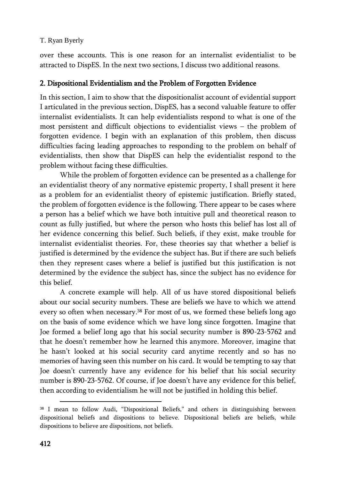over these accounts. This is one reason for an internalist evidentialist to be attracted to DispES. In the next two sections, I discuss two additional reasons.

# 2. Dispositional Evidentialism and the Problem of Forgotten Evidence

In this section, I aim to show that the dispositionalist account of evidential support I articulated in the previous section, DispES, has a second valuable feature to offer internalist evidentialists. It can help evidentialists respond to what is one of the most persistent and difficult objections to evidentialist views – the problem of forgotten evidence. I begin with an explanation of this problem, then discuss difficulties facing leading approaches to responding to the problem on behalf of evidentialists, then show that DispES can help the evidentialist respond to the problem without facing these difficulties.

While the problem of forgotten evidence can be presented as a challenge for an evidentialist theory of any normative epistemic property, I shall present it here as a problem for an evidentialist theory of epistemic justification. Briefly stated, the problem of forgotten evidence is the following. There appear to be cases where a person has a belief which we have both intuitive pull and theoretical reason to count as fully justified, but where the person who hosts this belief has lost all of her evidence concerning this belief. Such beliefs, if they exist, make trouble for internalist evidentialist theories. For, these theories say that whether a belief is justified is determined by the evidence the subject has. But if there are such beliefs then they represent cases where a belief is justified but this justification is not determined by the evidence the subject has, since the subject has no evidence for this belief.

A concrete example will help. All of us have stored dispositional beliefs about our social security numbers. These are beliefs we have to which we attend every so often when necessary.<sup>38</sup> For most of us, we formed these beliefs long ago on the basis of some evidence which we have long since forgotten. Imagine that Joe formed a belief long ago that his social security number is 890-23-5762 and that he doesn't remember how he learned this anymore. Moreover, imagine that he hasn't looked at his social security card anytime recently and so has no memories of having seen this number on his card. It would be tempting to say that Joe doesn't currently have any evidence for his belief that his social security number is 890-23-5762. Of course, if Joe doesn't have any evidence for this belief, then according to evidentialism he will not be justified in holding this belief.

<sup>38</sup> I mean to follow Audi, "Dispositional Beliefs," and others in distinguishing between dispositional beliefs and dispositions to believe. Dispositional beliefs are beliefs, while dispositions to believe are dispositions, not beliefs.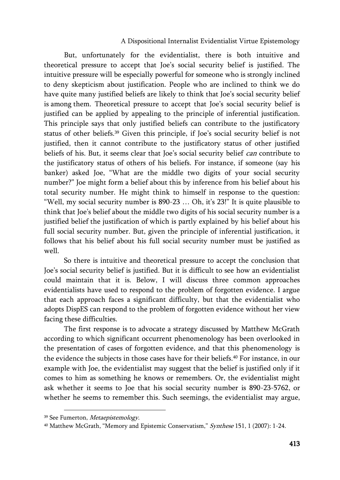But, unfortunately for the evidentialist, there is both intuitive and theoretical pressure to accept that Joe's social security belief is justified. The intuitive pressure will be especially powerful for someone who is strongly inclined to deny skepticism about justification. People who are inclined to think we do have quite many justified beliefs are likely to think that Joe's social security belief is among them. Theoretical pressure to accept that Joe's social security belief is justified can be applied by appealing to the principle of inferential justification. This principle says that only justified beliefs can contribute to the justificatory status of other beliefs.<sup>39</sup> Given this principle, if Joe's social security belief is not justified, then it cannot contribute to the justificatory status of other justified beliefs of his. But, it seems clear that Joe's social security belief *can* contribute to the justificatory status of others of his beliefs. For instance, if someone (say his banker) asked Joe, "What are the middle two digits of your social security number?" Joe might form a belief about this by inference from his belief about his total security number. He might think to himself in response to the question: "Well, my social security number is 890-23 … Oh, it's 23!" It is quite plausible to think that Joe's belief about the middle two digits of his social security number is a justified belief the justification of which is partly explained by his belief about his full social security number. But, given the principle of inferential justification, it follows that his belief about his full social security number must be justified as well.

So there is intuitive and theoretical pressure to accept the conclusion that Joe's social security belief is justified. But it is difficult to see how an evidentialist could maintain that it is. Below, I will discuss three common approaches evidentialists have used to respond to the problem of forgotten evidence. I argue that each approach faces a significant difficulty, but that the evidentialist who adopts DispES can respond to the problem of forgotten evidence without her view facing these difficulties.

The first response is to advocate a strategy discussed by Matthew McGrath according to which significant occurrent phenomenology has been overlooked in the presentation of cases of forgotten evidence, and that this phenomenology is the evidence the subjects in those cases have for their beliefs.<sup>40</sup> For instance, in our example with Joe, the evidentialist may suggest that the belief is justified only if it comes to him as something he knows or remembers. Or, the evidentialist might ask whether it seems to Joe that his social security number is 890-23-5762, or whether he seems to remember this. Such seemings, the evidentialist may argue,

<sup>&</sup>lt;sup>39</sup> See Fumerton, Metaepistemology.

<sup>&</sup>lt;sup>40</sup> Matthew McGrath, "Memory and Epistemic Conservatism," Synthese 151, 1 (2007): 1-24.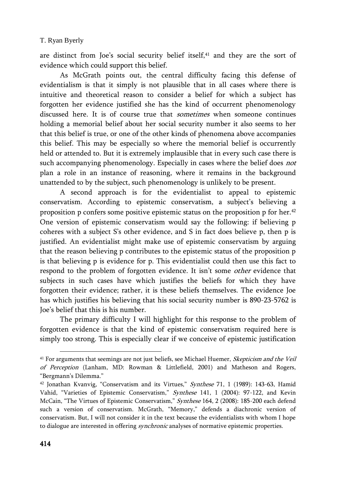are distinct from Joe's social security belief itself, $41$  and they are the sort of evidence which could support this belief.

As McGrath points out, the central difficulty facing this defense of evidentialism is that it simply is not plausible that in all cases where there is intuitive and theoretical reason to consider a belief for which a subject has forgotten her evidence justified she has the kind of occurrent phenomenology discussed here. It is of course true that *sometimes* when someone continues holding a memorial belief about her social security number it also seems to her that this belief is true, or one of the other kinds of phenomena above accompanies this belief. This may be especially so where the memorial belief is occurrently held or attended to. But it is extremely implausible that in every such case there is such accompanying phenomenology. Especially in cases where the belief does not plan a role in an instance of reasoning, where it remains in the background unattended to by the subject, such phenomenology is unlikely to be present.

A second approach is for the evidentialist to appeal to epistemic conservatism. According to epistemic conservatism, a subject's believing a proposition p confers some positive epistemic status on the proposition p for her. $42$ One version of epistemic conservatism would say the following: if believing p coheres with a subject S's other evidence, and S in fact does believe p, then p is justified. An evidentialist might make use of epistemic conservatism by arguing that the reason believing p contributes to the epistemic status of the proposition p is that believing p is evidence for p. This evidentialist could then use this fact to respond to the problem of forgotten evidence. It isn't some *other* evidence that subjects in such cases have which justifies the beliefs for which they have forgotten their evidence; rather, it is these beliefs themselves. The evidence Joe has which justifies his believing that his social security number is 890-23-5762 is Joe's belief that this is his number.

The primary difficulty I will highlight for this response to the problem of forgotten evidence is that the kind of epistemic conservatism required here is simply too strong. This is especially clear if we conceive of epistemic justification

 $41$  For arguments that seemings are not just beliefs, see Michael Huemer, *Skepticism and the Veil* of Perception (Lanham, MD: Rowman & Littlefield, 2001) and Matheson and Rogers, "Bergmann's Dilemma."

<sup>&</sup>lt;sup>42</sup> Jonathan Kvanvig, "Conservatism and its Virtues," Synthese 71, 1 (1989): 143-63, Hamid Vahid, "Varieties of Epistemic Conservatism," Synthese 141, 1 (2004): 97-122, and Kevin McCain, "The Virtues of Epistemic Conservatism," Synthese 164, 2 (2008): 185-200 each defend such a version of conservatism. McGrath, "Memory," defends a diachronic version of conservatism. But, I will not consider it in the text because the evidentialists with whom I hope to dialogue are interested in offering *synchronic* analyses of normative epistemic properties.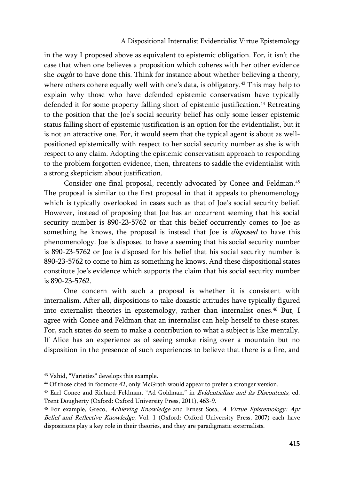in the way I proposed above as equivalent to epistemic obligation. For, it isn't the case that when one believes a proposition which coheres with her other evidence she *ought* to have done this. Think for instance about whether believing a theory, where others cohere equally well with one's data, is obligatory.<sup>43</sup> This may help to explain why those who have defended epistemic conservatism have typically defended it for some property falling short of epistemic justification.<sup>44</sup> Retreating to the position that the Joe's social security belief has only some lesser epistemic status falling short of epistemic justification is an option for the evidentialist, but it is not an attractive one. For, it would seem that the typical agent is about as wellpositioned epistemically with respect to her social security number as she is with respect to any claim. Adopting the epistemic conservatism approach to responding to the problem forgotten evidence, then, threatens to saddle the evidentialist with a strong skepticism about justification.

Consider one final proposal, recently advocated by Conee and Feldman.<sup>45</sup> The proposal is similar to the first proposal in that it appeals to phenomenology which is typically overlooked in cases such as that of Joe's social security belief. However, instead of proposing that Joe has an occurrent seeming that his social security number is 890-23-5762 or that this belief occurrently comes to Joe as something he knows, the proposal is instead that Joe is *disposed* to have this phenomenology. Joe is disposed to have a seeming that his social security number is 890-23-5762 or Joe is disposed for his belief that his social security number is 890-23-5762 to come to him as something he knows. And these dispositional states constitute Joe's evidence which supports the claim that his social security number is 890-23-5762.

One concern with such a proposal is whether it is consistent with internalism. After all, dispositions to take doxastic attitudes have typically figured into externalist theories in epistemology, rather than internalist ones.<sup>46</sup> But, I agree with Conee and Feldman that an internalist can help herself to these states. For, such states do seem to make a contribution to what a subject is like mentally. If Alice has an experience as of seeing smoke rising over a mountain but no disposition in the presence of such experiences to believe that there is a fire, and

<sup>43</sup> Vahid, "Varieties" develops this example.

<sup>44</sup> Of those cited in footnote 42, only McGrath would appear to prefer a stronger version.

<sup>45</sup> Earl Conee and Richard Feldman, "Ad Goldman," in Evidentialism and its Discontents, ed. Trent Dougherty (Oxford: Oxford University Press, 2011), 463-9.

<sup>&</sup>lt;sup>46</sup> For example, Greco, Achieving Knowledge and Ernest Sosa, A Virtue Epistemology: Apt Belief and Reflective Knowledge, Vol. 1 (Oxford: Oxford University Press, 2007) each have dispositions play a key role in their theories, and they are paradigmatic externalists.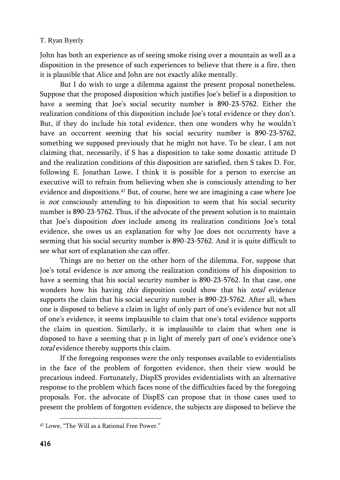John has both an experience as of seeing smoke rising over a mountain as well as a disposition in the presence of such experiences to believe that there is a fire, then it is plausible that Alice and John are not exactly alike mentally.

But I do wish to urge a dilemma against the present proposal nonetheless. Suppose that the proposed disposition which justifies Joe's belief is a disposition to have a seeming that Joe's social security number is 890-23-5762. Either the realization conditions of this disposition include Joe's total evidence or they don't. But, if they do include his total evidence, then one wonders why he wouldn't have an occurrent seeming that his social security number is 890-23-5762, something we supposed previously that he might not have. To be clear, I am not claiming that, necessarily, if S has a disposition to take some doxastic attitude D and the realization conditions of this disposition are satisfied, then S takes D. For, following E. Jonathan Lowe, I think it is possible for a person to exercise an executive will to refrain from believing when she is consciously attending to her evidence and dispositions.<sup>47</sup> But, of course, here we are imagining a case where Joe is not consciously attending to his disposition to seem that his social security number is 890-23-5762. Thus, if the advocate of the present solution is to maintain that Joe's disposition *does* include among its realization conditions Joe's total evidence, she owes us an explanation for why Joe does not occurrenty have a seeming that his social security number is 890-23-5762. And it is quite difficult to see what sort of explanation she can offer.

Things are no better on the other horn of the dilemma. For, suppose that Joe's total evidence is not among the realization conditions of his disposition to have a seeming that his social security number is 890-23-5762. In that case, one wonders how his having *this* disposition could show that his *total* evidence supports the claim that his social security number is 890-23-5762. After all, when one is disposed to believe a claim in light of only part of one's evidence but not all of one's evidence, it seems implausible to claim that one's total evidence supports the claim in question. Similarly, it is implausible to claim that when one is disposed to have a seeming that p in light of merely part of one's evidence one's total evidence thereby supports this claim.

If the foregoing responses were the only responses available to evidentialists in the face of the problem of forgotten evidence, then their view would be precarious indeed. Fortunately, DispES provides evidentialists with an alternative response to the problem which faces none of the difficulties faced by the foregoing proposals. For, the advocate of DispES can propose that in those cases used to present the problem of forgotten evidence, the subjects are disposed to believe the

<sup>47</sup> Lowe, "The Will as a Rational Free Power."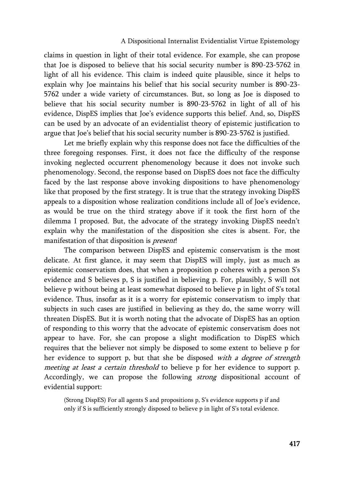claims in question in light of their total evidence. For example, she can propose that Joe is disposed to believe that his social security number is 890-23-5762 in light of all his evidence. This claim is indeed quite plausible, since it helps to explain why Joe maintains his belief that his social security number is 890-23- 5762 under a wide variety of circumstances. But, so long as Joe is disposed to believe that his social security number is 890-23-5762 in light of all of his evidence, DispES implies that Joe's evidence supports this belief. And, so, DispES can be used by an advocate of an evidentialist theory of epistemic justification to argue that Joe's belief that his social security number is 890-23-5762 is justified.

Let me briefly explain why this response does not face the difficulties of the three foregoing responses. First, it does not face the difficulty of the response invoking neglected occurrent phenomenology because it does not invoke such phenomenology. Second, the response based on DispES does not face the difficulty faced by the last response above invoking dispositions to have phenomenology like that proposed by the first strategy. It is true that the strategy invoking DispES appeals to a disposition whose realization conditions include all of Joe's evidence, as would be true on the third strategy above if it took the first horn of the dilemma I proposed. But, the advocate of the strategy invoking DispES needn't explain why the manifestation of the disposition she cites is absent. For, the manifestation of that disposition is *present*!

The comparison between DispES and epistemic conservatism is the most delicate. At first glance, it may seem that DispES will imply, just as much as epistemic conservatism does, that when a proposition p coheres with a person S's evidence and S believes p, S is justified in believing p. For, plausibly, S will not believe p without being at least somewhat disposed to believe p in light of S's total evidence. Thus, insofar as it is a worry for epistemic conservatism to imply that subjects in such cases are justified in believing as they do, the same worry will threaten DispES. But it is worth noting that the advocate of DispES has an option of responding to this worry that the advocate of epistemic conservatism does not appear to have. For, she can propose a slight modification to DispES which requires that the believer not simply be disposed to some extent to believe p for her evidence to support p, but that she be disposed with a degree of strength meeting at least a certain threshold to believe p for her evidence to support p. Accordingly, we can propose the following strong dispositional account of evidential support:

(Strong DispES) For all agents S and propositions p, S's evidence supports p if and only if S is sufficiently strongly disposed to believe p in light of S's total evidence.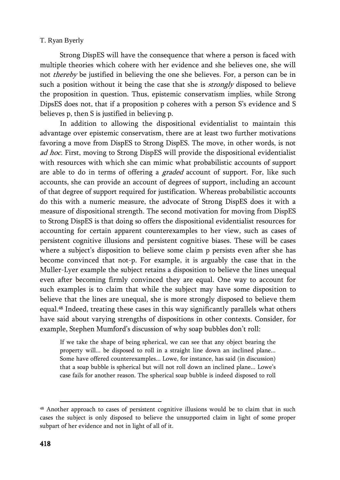Strong DispES will have the consequence that where a person is faced with multiple theories which cohere with her evidence and she believes one, she will not *thereby* be justified in believing the one she believes. For, a person can be in such a position without it being the case that she is *strongly* disposed to believe the proposition in question. Thus, epistemic conservatism implies, while Strong DipsES does not, that if a proposition p coheres with a person S's evidence and S believes p, then S is justified in believing p.

In addition to allowing the dispositional evidentialist to maintain this advantage over epistemic conservatism, there are at least two further motivations favoring a move from DispES to Strong DispES. The move, in other words, is not ad hoc. First, moving to Strong DispES will provide the dispositional evidentialist with resources with which she can mimic what probabilistic accounts of support are able to do in terms of offering a *graded* account of support. For, like such accounts, she can provide an account of degrees of support, including an account of that degree of support required for justification. Whereas probabilistic accounts do this with a numeric measure, the advocate of Strong DispES does it with a measure of dispositional strength. The second motivation for moving from DispES to Strong DispES is that doing so offers the dispositional evidentialist resources for accounting for certain apparent counterexamples to her view, such as cases of persistent cognitive illusions and persistent cognitive biases. These will be cases where a subject's disposition to believe some claim p persists even after she has become convinced that not-p. For example, it is arguably the case that in the Muller-Lyer example the subject retains a disposition to believe the lines unequal even after becoming firmly convinced they are equal. One way to account for such examples is to claim that while the subject may have some disposition to believe that the lines are unequal, she is more strongly disposed to believe them equal.<sup>48</sup> Indeed, treating these cases in this way significantly parallels what others have said about varying strengths of dispositions in other contexts. Consider, for example, Stephen Mumford's discussion of why soap bubbles don't roll:

If we take the shape of being spherical, we can see that any object bearing the property will... be disposed to roll in a straight line down an inclined plane... Some have offered counterexamples... Lowe, for instance, has said (in discussion) that a soap bubble is spherical but will not roll down an inclined plane... Lowe's case fails for another reason. The spherical soap bubble is indeed disposed to roll

<sup>&</sup>lt;sup>48</sup> Another approach to cases of persistent cognitive illusions would be to claim that in such cases the subject is only disposed to believe the unsupported claim in light of some proper subpart of her evidence and not in light of all of it.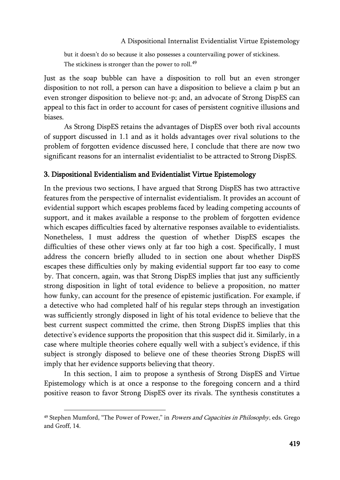but it doesn't do so because it also possesses a countervailing power of stickiness. The stickiness is stronger than the power to roll.<sup>49</sup>

Just as the soap bubble can have a disposition to roll but an even stronger disposition to not roll, a person can have a disposition to believe a claim p but an even stronger disposition to believe not-p; and, an advocate of Strong DispES can appeal to this fact in order to account for cases of persistent cognitive illusions and biases.

As Strong DispES retains the advantages of DispES over both rival accounts of support discussed in 1.1 and as it holds advantages over rival solutions to the problem of forgotten evidence discussed here, I conclude that there are now two significant reasons for an internalist evidentialist to be attracted to Strong DispES.

# 3. Dispositional Evidentialism and Evidentialist Virtue Epistemology

In the previous two sections, I have argued that Strong DispES has two attractive features from the perspective of internalist evidentialism. It provides an account of evidential support which escapes problems faced by leading competing accounts of support, and it makes available a response to the problem of forgotten evidence which escapes difficulties faced by alternative responses available to evidentialists. Nonetheless, I must address the question of whether DispES escapes the difficulties of these other views only at far too high a cost. Specifically, I must address the concern briefly alluded to in section one about whether DispES escapes these difficulties only by making evidential support far too easy to come by. That concern, again, was that Strong DispES implies that just any sufficiently strong disposition in light of total evidence to believe a proposition, no matter how funky, can account for the presence of epistemic justification. For example, if a detective who had completed half of his regular steps through an investigation was sufficiently strongly disposed in light of his total evidence to believe that the best current suspect committed the crime, then Strong DispES implies that this detective's evidence supports the proposition that this suspect did it. Similarly, in a case where multiple theories cohere equally well with a subject's evidence, if this subject is strongly disposed to believe one of these theories Strong DispES will imply that her evidence supports believing that theory.

In this section, I aim to propose a synthesis of Strong DispES and Virtue Epistemology which is at once a response to the foregoing concern and a third positive reason to favor Strong DispES over its rivals. The synthesis constitutes a

<sup>49</sup> Stephen Mumford, "The Power of Power," in Powers and Capacities in Philosophy, eds. Grego and Groff, 14.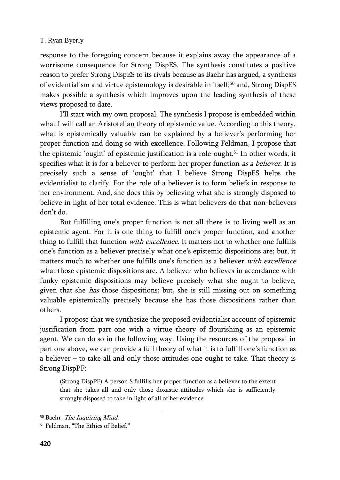response to the foregoing concern because it explains away the appearance of a worrisome consequence for Strong DispES. The synthesis constitutes a positive reason to prefer Strong DispES to its rivals because as Baehr has argued, a synthesis of evidentialism and virtue epistemology is desirable in itself;<sup>50</sup> and, Strong DispES makes possible a synthesis which improves upon the leading synthesis of these views proposed to date.

I'll start with my own proposal. The synthesis I propose is embedded within what I will call an Aristotelian theory of epistemic value. According to this theory, what is epistemically valuable can be explained by a believer's performing her proper function and doing so with excellence. Following Feldman, I propose that the epistemic 'ought' of epistemic justification is a role-ought.<sup>51</sup> In other words, it specifies what it is for a believer to perform her proper function as a believer. It is precisely such a sense of 'ought' that I believe Strong DispES helps the evidentialist to clarify. For the role of a believer is to form beliefs in response to her environment. And, she does this by believing what she is strongly disposed to believe in light of her total evidence. This is what believers do that non-believers don't do.

But fulfilling one's proper function is not all there is to living well as an epistemic agent. For it is one thing to fulfill one's proper function, and another thing to fulfill that function with excellence. It matters not to whether one fulfills one's function as a believer precisely what one's epistemic dispositions are; but, it matters much to whether one fulfills one's function as a believer with excellence what those epistemic dispositions are. A believer who believes in accordance with funky epistemic dispositions may believe precisely what she ought to believe, given that she *has* those dispositions; but, she is still missing out on something valuable epistemically precisely because she has those dispositions rather than others.

I propose that we synthesize the proposed evidentialist account of epistemic justification from part one with a virtue theory of flourishing as an epistemic agent. We can do so in the following way. Using the resources of the proposal in part one above, we can provide a full theory of what it is to fulfill one's function as a believer – to take all and only those attitudes one ought to take. That theory is Strong DispPF:

(Strong DispPF) A person S fulfills her proper function as a believer to the extent that she takes all and only those doxastic attitudes which she is sufficiently strongly disposed to take in light of all of her evidence.

<sup>50</sup> Baehr, The Inquiring Mind.

<sup>51</sup> Feldman, "The Ethics of Belief."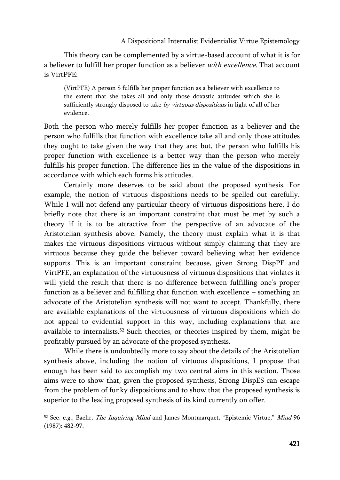This theory can be complemented by a virtue-based account of what it is for a believer to fulfill her proper function as a believer with excellence. That account is VirtPFE:

(VirtPFE) A person S fulfills her proper function as a believer with excellence to the extent that she takes all and only those doxastic attitudes which she is sufficiently strongly disposed to take by virtuous dispositions in light of all of her evidence.

Both the person who merely fulfills her proper function as a believer and the person who fulfills that function with excellence take all and only those attitudes they ought to take given the way that they are; but, the person who fulfills his proper function with excellence is a better way than the person who merely fulfills his proper function. The difference lies in the value of the dispositions in accordance with which each forms his attitudes.

Certainly more deserves to be said about the proposed synthesis. For example, the notion of virtuous dispositions needs to be spelled out carefully. While I will not defend any particular theory of virtuous dispositions here, I do briefly note that there is an important constraint that must be met by such a theory if it is to be attractive from the perspective of an advocate of the Aristotelian synthesis above. Namely, the theory must explain what it is that makes the virtuous dispositions virtuous without simply claiming that they are virtuous because they guide the believer toward believing what her evidence supports. This is an important constraint because, given Strong DispPF and VirtPFE, an explanation of the virtuousness of virtuous dispositions that violates it will yield the result that there is no difference between fulfilling one's proper function as a believer and fulfilling that function with excellence – something an advocate of the Aristotelian synthesis will not want to accept. Thankfully, there are available explanations of the virtuousness of virtuous dispositions which do not appeal to evidential support in this way, including explanations that are available to internalists.<sup>52</sup> Such theories, or theories inspired by them, might be profitably pursued by an advocate of the proposed synthesis.

While there is undoubtedly more to say about the details of the Aristotelian synthesis above, including the notion of virtuous dispositions, I propose that enough has been said to accomplish my two central aims in this section. Those aims were to show that, given the proposed synthesis, Strong DispES can escape from the problem of funky dispositions and to show that the proposed synthesis is superior to the leading proposed synthesis of its kind currently on offer.

<sup>&</sup>lt;sup>52</sup> See, e.g., Baehr, *The Inquiring Mind* and James Montmarquet, "Epistemic Virtue," Mind 96 (1987): 482-97.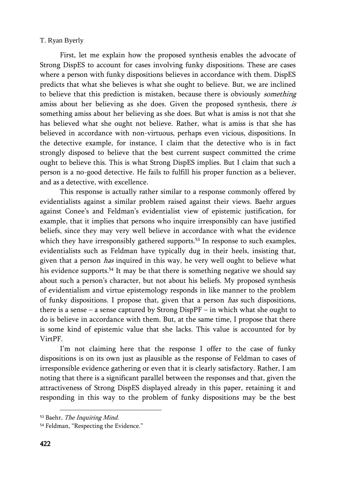First, let me explain how the proposed synthesis enables the advocate of Strong DispES to account for cases involving funky dispositions. These are cases where a person with funky dispositions believes in accordance with them. DispES predicts that what she believes is what she ought to believe. But, we are inclined to believe that this prediction is mistaken, because there is obviously *something* amiss about her believing as she does. Given the proposed synthesis, there is something amiss about her believing as she does. But what is amiss is not that she has believed what she ought not believe. Rather, what is amiss is that she has believed in accordance with non-virtuous, perhaps even vicious, dispositions. In the detective example, for instance, I claim that the detective who is in fact strongly disposed to believe that the best current suspect committed the crime ought to believe this. This is what Strong DispES implies. But I claim that such a person is a no-good detective. He fails to fulfill his proper function as a believer, and as a detective, with excellence.

This response is actually rather similar to a response commonly offered by evidentialists against a similar problem raised against their views. Baehr argues against Conee's and Feldman's evidentialist view of epistemic justification, for example, that it implies that persons who inquire irresponsibly can have justified beliefs, since they may very well believe in accordance with what the evidence which they have irresponsibly gathered supports.<sup>53</sup> In response to such examples, evidentialists such as Feldman have typically dug in their heels, insisting that, given that a person *has* inquired in this way, he very well ought to believe what his evidence supports.<sup>54</sup> It may be that there is something negative we should say about such a person's character, but not about his beliefs. My proposed synthesis of evidentialism and virtue epistemology responds in like manner to the problem of funky dispositions. I propose that, given that a person *has* such dispositions, there is a sense – a sense captured by Strong DispPF – in which what she ought to do is believe in accordance with them. But, at the same time, I propose that there is some kind of epistemic value that she lacks. This value is accounted for by VirtPF.

I'm not claiming here that the response I offer to the case of funky dispositions is on its own just as plausible as the response of Feldman to cases of irresponsible evidence gathering or even that it is clearly satisfactory. Rather, I am noting that there is a significant parallel between the responses and that, given the attractiveness of Strong DispES displayed already in this paper, retaining it and responding in this way to the problem of funky dispositions may be the best

<sup>53</sup> Baehr, The Inquiring Mind.

<sup>54</sup> Feldman, "Respecting the Evidence."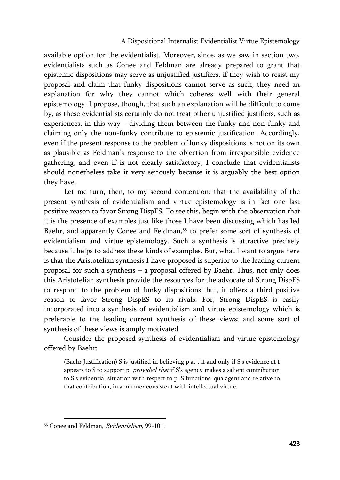available option for the evidentialist. Moreover, since, as we saw in section two, evidentialists such as Conee and Feldman are already prepared to grant that epistemic dispositions may serve as unjustified justifiers, if they wish to resist my proposal and claim that funky dispositions cannot serve as such, they need an explanation for why they cannot which coheres well with their general epistemology. I propose, though, that such an explanation will be difficult to come by, as these evidentialists certainly do not treat other unjustified justifiers, such as experiences, in this way – dividing them between the funky and non-funky and claiming only the non-funky contribute to epistemic justification. Accordingly, even if the present response to the problem of funky dispositions is not on its own as plausible as Feldman's response to the objection from irresponsible evidence gathering, and even if is not clearly satisfactory, I conclude that evidentialists should nonetheless take it very seriously because it is arguably the best option they have.

Let me turn, then, to my second contention: that the availability of the present synthesis of evidentialism and virtue epistemology is in fact one last positive reason to favor Strong DispES. To see this, begin with the observation that it is the presence of examples just like those I have been discussing which has led Baehr, and apparently Conee and Feldman,<sup>55</sup> to prefer some sort of synthesis of evidentialism and virtue epistemology. Such a synthesis is attractive precisely because it helps to address these kinds of examples. But, what I want to argue here is that the Aristotelian synthesis I have proposed is superior to the leading current proposal for such a synthesis – a proposal offered by Baehr. Thus, not only does this Aristotelian synthesis provide the resources for the advocate of Strong DispES to respond to the problem of funky dispositions; but, it offers a third positive reason to favor Strong DispES to its rivals. For, Strong DispES is easily incorporated into a synthesis of evidentialism and virtue epistemology which is preferable to the leading current synthesis of these views; and some sort of synthesis of these views is amply motivated.

Consider the proposed synthesis of evidentialism and virtue epistemology offered by Baehr:

(Baehr Justification) S is justified in believing p at t if and only if S's evidence at t appears to S to support p, provided that if S's agency makes a salient contribution to S's evidential situation with respect to p, S functions, qua agent and relative to that contribution, in a manner consistent with intellectual virtue.

<sup>55</sup> Conee and Feldman, Evidentialism, 99-101.